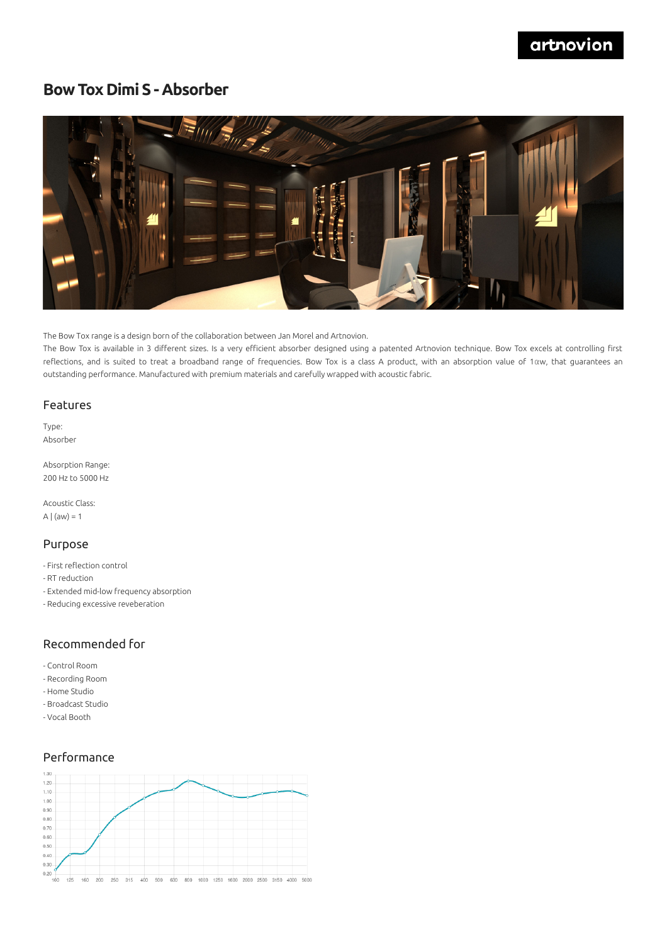# **Bow Tox Dimi S - Absorber**



The Bow Tox range is a design born of the collaboration between Jan Morel and Artnovion.

The Bow Tox is available in 3 different sizes. Is a very efficient absorber designed using a patented Artnovion technique. Bow Tox excels at controlling first reflections, and is suited to treat a broadband range of frequencies. Bow Tox is a class A product, with an absorption value of 1αw, that guarantees an outstanding performance. Manufactured with premium materials and carefully wrapped with acoustic fabric.

#### Features

Type: Absorber

Absorption Range: 200 Hz to 5000 Hz

Acoustic Class: A  $|$  (aw) = 1

#### Purpose

- First reflection control
- RT reduction
- Extended mid-low frequency absorption
- Reducing excessive reveberation

### Recommended for

- Control Room
- Recording Room
- Home Studio
- Broadcast Studio
- Vocal Booth

## Performance

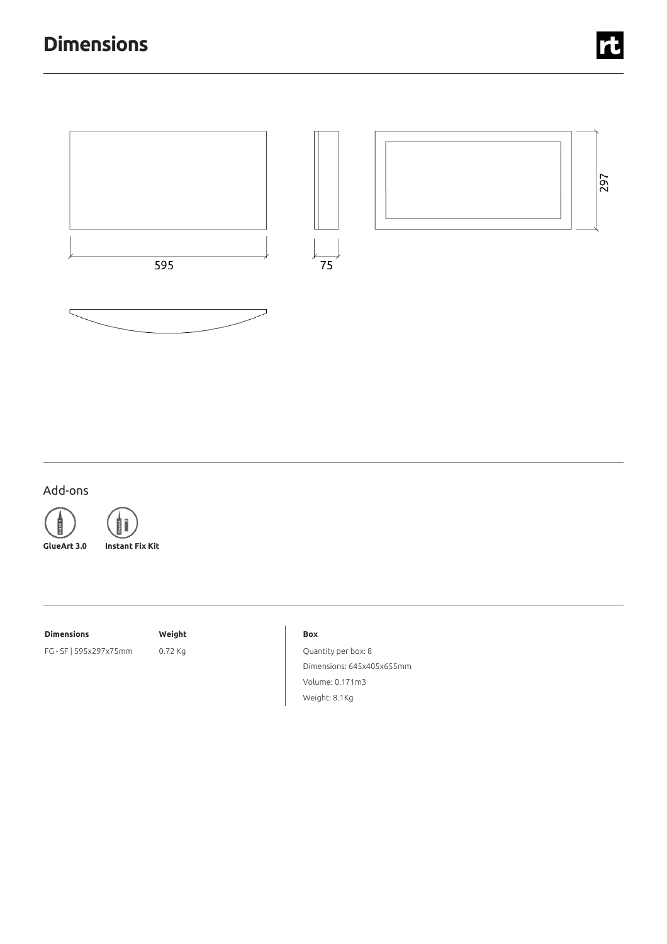

## Add-ons





**GlueArt 3.0 Instant Fix Kit**

#### **Dimensions Weight**

FG - SF | 595x297x75mm 0.72 Kg

#### **Box**

Quantity per box: 8 Dimensions: 645x405x655mm Volume: 0.171m3 Weight: 8.1Kg